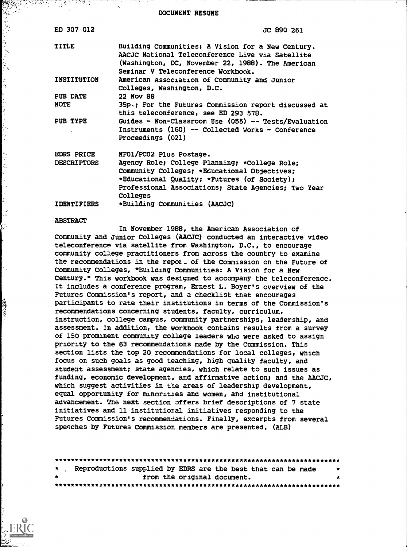DOCUMENT RESUME

| ED 307 012         | JC 890 261                                                                                                                                                                                                       |
|--------------------|------------------------------------------------------------------------------------------------------------------------------------------------------------------------------------------------------------------|
| <b>TITLE</b>       | Building Communities: A Vision for a New Century.<br>AACJC National Teleconference Live via Satellite<br>(Washington, DC, November 22, 1988). The American<br>Seminar V Teleconference Workbook.                 |
| <b>INSTITUTION</b> | American Association of Community and Junior<br>Colleges, Washington, D.C.                                                                                                                                       |
| <b>PUB DATE</b>    | 22 Nov 88                                                                                                                                                                                                        |
| <b>NOTE</b>        | 35p.; For the Futures Commission report discussed at<br>this teleconference, see ED 293 578.                                                                                                                     |
| PUB TYPE           | Guides - Non-Classroom Use $(055)$ -- Tests/Evaluation<br>Instruments (160) -- Collected Works - Conference<br>Proceedings (021)                                                                                 |
| <b>EDRS PRICE</b>  | MFO1/PCO2 Plus Postage.                                                                                                                                                                                          |
| <b>DESCRIPTORS</b> | Agency Role; College Planning; *College Role;<br>Community Colleges; *Educational Objectives;<br>*Educational Quality; *Futures (of Society);<br>Professional Associations; State Agencies; Two Year<br>Colleges |
| <b>IDENTIFIERS</b> | *Building Communities (AACJC)                                                                                                                                                                                    |

#### ABSTRACT

ション・ミュリング・シ

l. ţ.

いいい (うちいきの)

In November 1988, the American Association of Community and Junior Colleges ( AACJC) conducted an interactive video teleconference via satellite from Washington, D.C., to encourage community college practitioners from across the country to examine the recommendations in the repot- of the Commission on the Future of Community Colleges, "Building Communities: A Vision for a New Century." This workbook was designed to accompany the teleconference. It includes a conference program, Ernest L. Boyer's overview of the Futures Commission's report, and a checklist that encourages participants to rate their institutions in terms of the Commission's recommendations concerning students, faculty, curriculum, instruction, college campus, community partnerships, leadership, and assessment. In addition, the workbook contains results from a survey of 150 prominent community college leaders who were asked to assign priority to the 63 recommendations made by the Commission. This section lists the top 20 recommendations for local colleges, which focus on such goals as good teaching, high quality faculty, and student assessment; state agencies, which relate to such issues as funding, economic development, and affirmative action; and the AACJC, which suggest activities in the areas of leadership development, equal opportunity for minorities and women, and institutional advancement. The next section offers brief descriptions of 7 state initiatives and 11 institutional initiatives responding to the Futures Commission's recommendations. Finally, excerpts from several speeches by Futures Commission members are presented. (ALB)

|           | * Reproductions supplied by EDRS are the best that can be made<br>$\star$ |   |
|-----------|---------------------------------------------------------------------------|---|
| $\bullet$ | from the original document.                                               | * |
|           |                                                                           |   |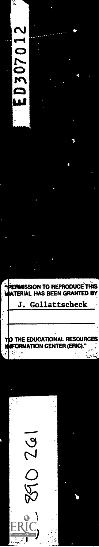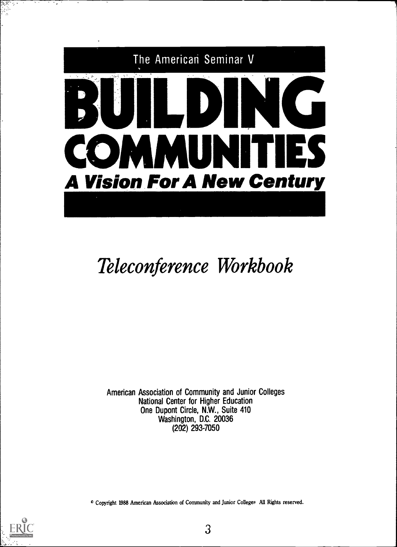

# Teleconference Workbook

American Association of Community and Junior Colleges National Center for Higher Education One Dupont Circle, N.W., Suite 410 Washington, D.C. 20036 (202) 293-7050

0 Copyright 1988 American Association of Community and Junior Colleges All Rights reserved.

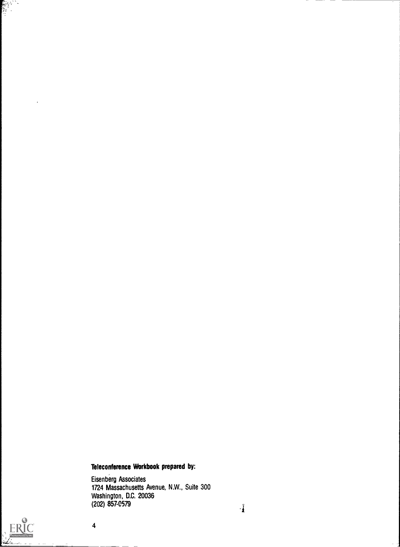#### Teleconference Workbook prepared by:

Eisenberg Associates 1724 Massachusetts Avenue, N.W., Suite 300 Washington, D.C. 20036 (202) 857-0579



 $\overline{\mathbf{4}}$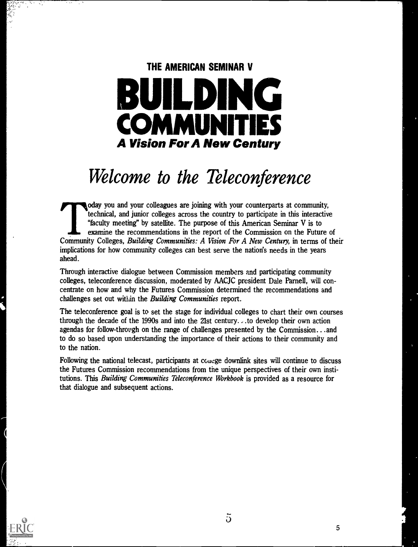# THE AMERICAN SEMINAR V BUILDING **BUILDING COMMU** A Vision For A New Century

## Welcome to the Teleconference

oday you and your colleagues are joining with your counterparts at community, technical, and junior colleges across the country to participate in this interactive "faculty meeting" by satellite. The purpose of this American Seminar V is to examine the recommendations in the report of the Commission on the Future of Community Colleges, Building Communities: A Vision For A New Century, in terms of their implications for how community colleges can best serve the nation's needs in the years ahead.

Through interactive dialogue between Commission members and participating community colleges, teleconference discussion, moderated by AACJC president Dale Parnell, will concentrate on how and why the Futures Commission determined the recommendations and challenges set out within the Building Communities report.

The teleconference goal is to set the stage for individual colleges to chart their own courses through the decade of the 1990s and into the 21st century... .to develop their own action agendas for follow-through on the range of challenges presented by the Commission...and to do so based upon understanding the importance of their actions to their community and to the nation.

Following the national telecast, participants at conege downlink sites will continue to discuss the Futures Commission recommendations from the unique perspectives of their own institutions. This Building Communities Teleconference Workbook is provided as a resource for that dialogue and subsequent actions.



 $\overline{5}$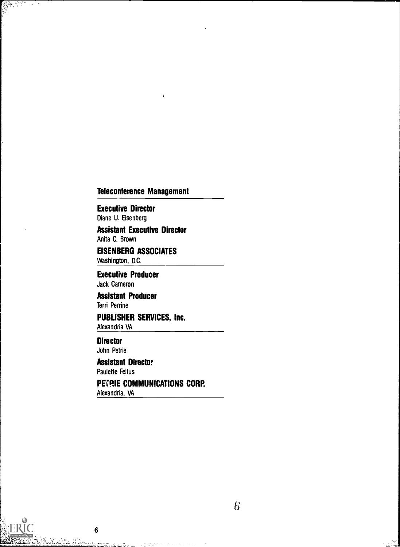#### Teleconference Management

f,

Executive Director Diane U. Eisenberg

 $\hat{\boldsymbol{\theta}}$ 

Assistant Executive Director Anita C. Brown

EISENBERG ASSOCIATES Washington, D.C.

Executive Producer Jack Cameron

Assistant Producer Terri Perrine

PUBLISHER SERVICES, Inc. Alexandria VA

**Director** John Petrie

 $\bf 6$ 

tana ya Karata ya Tanzania.<br>Kata ya Karata ya Karata ya Karata ya Karata ya Karata ya Karata ya Karata ya Karata ya Karata ya Karata ya Ka

Assistant Director Paulette Feltus

PETRIE COMMUNICATIONS CORP. Alexandria, VA

دية<br>تأمينيات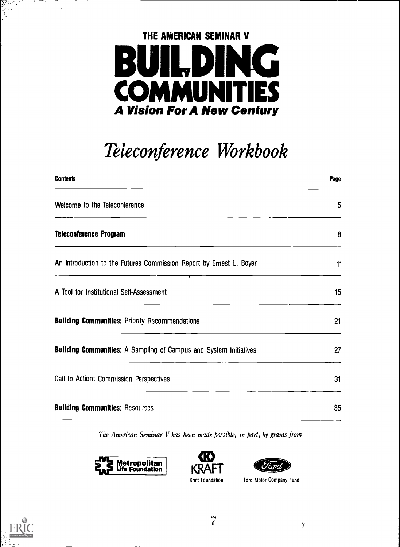

# Teleconference Workbook

| <b>Contents</b>                                                          | Page |
|--------------------------------------------------------------------------|------|
| Welcome to the Teleconference                                            | 5    |
| <b>Teleconference Program</b>                                            | 8    |
| An Introduction to the Futures Commission Report by Ernest L. Boyer      | 11   |
| A Tool for Institutional Self-Assessment                                 | 15   |
| <b>Building Communities: Priority Recommendations</b>                    | 21   |
| <b>Building Communities:</b> A Sampling of Campus and System Initiatives | 27   |
| Call to Action: Commission Perspectives                                  | 31   |
| <b>Building Communities: Resources</b>                                   | 35   |

The American Seminar V has been made possible, in part, by grants from







Ford Motor Company Fund



ing kalendari.<br>Bangsang

J.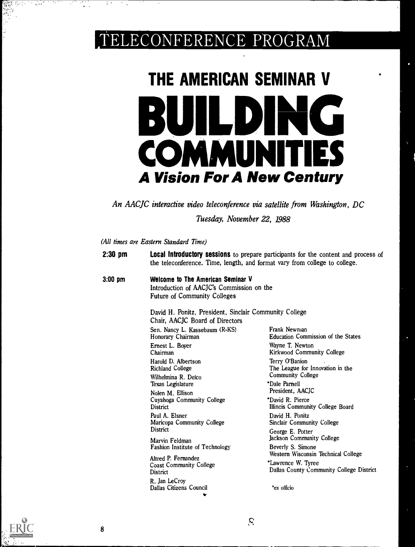## TELECONFERENCE PROGRAM

# THE AMERICAN SEMINAR V BUILDING COMMUNITIES A Vision For A New Century

An AACJC interactive video teleconference via satellite from Washington, DC

Tuesday, November 22, 1988

(All times are Eastern Standard Time)

| $2:30$ pm |                                                                                                                                                                                                                    | <b>Local Introductory sessions</b> to prepare participants for the content and process of<br>the teleconference. Time, length, and format vary from college to college. |
|-----------|--------------------------------------------------------------------------------------------------------------------------------------------------------------------------------------------------------------------|-------------------------------------------------------------------------------------------------------------------------------------------------------------------------|
| $3:00$ pm | Welcome to The American Seminar V<br>Introduction of AACJC's Commission on the<br><b>Future of Community Colleges</b><br>David H. Ponitz, President, Sinclair Community College<br>Chair, AACJC Board of Directors |                                                                                                                                                                         |
|           | Sen. Nancy L. Kassebaum (R-KS)                                                                                                                                                                                     | Frank Newnian                                                                                                                                                           |
|           | Honorary Chairman<br>Ernest L. Boyer<br>Chairman<br>Harold D. Albertson<br><b>Richland College</b>                                                                                                                 | <b>Education Commission of the States</b><br>Wayne T. Newton<br>Kirkwood Community College<br>Terry O'Banion<br>The League for Innovation in the                        |
|           | Wilhelmina R. Delco<br>Texas Legislature<br>Nolen M. Ellison<br>Cuyahoga Community College<br><b>District</b>                                                                                                      | <b>Community College</b><br>*Dale Parnell<br>President. AACJC<br>*David R. Pierce<br>Illineis Community College Board                                                   |
|           | Paul A. Elsner<br>Maricopa Community College<br>District                                                                                                                                                           | David H. Ponitz<br><b>Sinclair Community College</b><br>George E. Potter                                                                                                |
|           | Marvin Feldman<br><b>Fashion Institute of Technology</b>                                                                                                                                                           | Jackson Community College<br>Beverly S. Simone                                                                                                                          |
|           | Altred P. Fernandez<br><b>Coast Community College</b><br>District                                                                                                                                                  | Western Wisconsin Technical College<br>*Lawrence W. Tyree<br>Dallas County Community College District                                                                   |
|           | R. Jan LeCroy<br>Dallas Citizens Council<br>٠                                                                                                                                                                      | *ex officio                                                                                                                                                             |

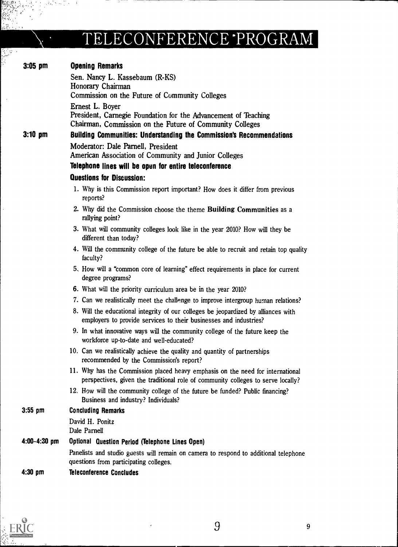## TELECONFERENCE PROGRAM

 $\ddot{\phantom{1}}$  $\sim$ 

सुद्धिः<br>प्राप्तः<br>प्राप्तः

 $\bar{\phantom{a}}$ 

| $3:05$ pm         | <b>Opening Remarks</b>                                                                                                                                             |
|-------------------|--------------------------------------------------------------------------------------------------------------------------------------------------------------------|
|                   | Sen. Nancy L. Kassebaum (R-KS)                                                                                                                                     |
|                   | Honorary Chairman                                                                                                                                                  |
|                   | Commission on the Future of Community Colleges                                                                                                                     |
|                   | Ernest L. Boyer                                                                                                                                                    |
|                   | President, Carnegie Foundation for the Advancement of Teaching<br>Chairman, Commission on the Future of Community Colleges                                         |
| $3:10 \text{ pm}$ | Building Communities: Understanding the Commission's Recommendations                                                                                               |
|                   | Moderator: Dale Parnell, President                                                                                                                                 |
|                   | American Association of Community and Junior Colleges                                                                                                              |
|                   | Telephone lines will be open for entire teleconference                                                                                                             |
|                   | <b>Questions for Discussion:</b>                                                                                                                                   |
|                   | 1. Why is this Commission report important? How does it differ from previous<br>reports?                                                                           |
|                   | 2. Why did the Commission choose the theme Building Communities as a<br>rallying point?                                                                            |
|                   | 3. What will community colleges look like in the year 2010? How will they be<br>different than today?                                                              |
|                   | 4. Will the community college of the future be able to recruit and retain top quality<br>faculty?                                                                  |
|                   | 5. How will a "common core of learning" effect requirements in place for current<br>degree programs?                                                               |
|                   | 6. What will the priority curriculum area be in the year 2010?                                                                                                     |
|                   | 7. Can we realistically meet the challenge to improve intergroup human relations?                                                                                  |
|                   | 8. Will the educational integrity of our colleges be jeopardized by alliances with<br>employers to provide services to their businesses and industries?            |
|                   | 9. In what innovative ways will the community college of the future keep the<br>workforce up-to-date and well-educated?                                            |
|                   | 10. Can we realistically achieve the quality and quantity of partnerships<br>recommended by the Commission's report?                                               |
|                   | 11. Why has the Commission placed heavy emphasis on the need for international<br>perspectives, given the traditional role of community colleges to serve locally? |
|                   | 12. How will the community college of the future be funded? Public financing?<br>Business and industry? Individuals?                                               |
| $3:55$ pm         | <b>Concluding Remarks</b>                                                                                                                                          |
|                   | David H. Ponitz<br>Dale Parnell                                                                                                                                    |
| $4:00-4:30$ pm    | Optional Question Period (Telephone Lines Open)                                                                                                                    |
|                   | Panelists and studio guests will remain on camera to respond to additional telephone<br>questions from participating colleges.                                     |
| $4:30$ pm         | <b>Teleconference Concludes</b>                                                                                                                                    |

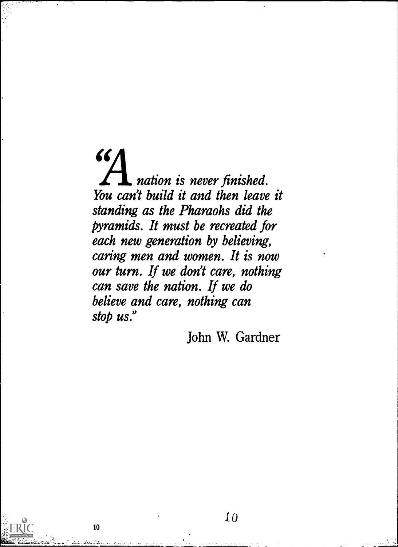$\mathcal{L}\left( \mathcal{L}\right)$ nation is never finished. You can't build it and then leave it standing as the Pharaohs did the pyramids. It must be recreated for each new generation by believing, caring men and women. It is now our turn. If we don't care, nothing can save the nation. If we do believe and care, nothing can stop us."

John W. Gardner

10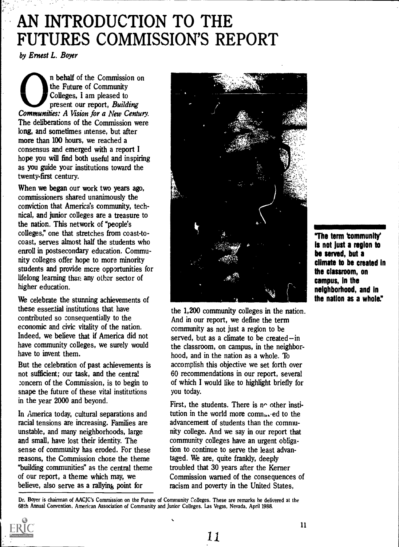## AN INTRODUCTION TO THE FUTURES COMMISSION'S REPORT

by Ernest L. Boyer

n behalf of the Commission on the Future of Community Colleges, I am pleased to present our report, Building Communities: A Vision for a New Century. The deliberations of the Commission were long, and sometimes intense, but after more than 100 hours, we reached a consensus and emerged with a report I hope you will find both useful and inspiring as you guide your institutions toward the twenty-first century.

When we began our work two years ago, commissioners shared unanimously the conviction that America's community, technical, and junior colleges are a treasure to the nation. This network of "people's colleges," one that stretches from coast-tocoast, serves almost half the students who enroll in postsecondary education. Community colleges offer hope to more minority students and provide mcre opportunities for lifelong learning than any other sector of higher education.

We celebrate the stunning achievements of these essential institutions that have contributed so consequentially to the economic and civic vitality of the nation. Indeed, we believe that if America did not have community colleges, we surely would have to invent them.

But the celebration of past achievements is not sufficient; our task, and the central concern of the Commission, is to begin to snape the future of these vital institutions in the year 2000 and beyond.

In America today, cultural separations and racial tensions are increasing. Families are unstable, and many neighborhoods, large and small, have lost their identity. The sense of community has eroded. For these reasons, the Commission chose the theme "building communities" as the central theme of our report, a theme which may, we believe, also serve as a rallying point for



the 1,200 community colleges in the nation. And in our report, we define the term community as not just a region to be served, but as a climate to be created-in the classroom, on campus, in the neighborhood, and in the nation as a whole. To accomplish this objective we set forth over 60 recommendations in our report, several of which I would like to highlight briefly for you today.

First, the students. There is  $n<sup>o</sup>$  other institution in the world more comnuned to the advancement of students than the community college. And we say in our report that community colleges have an urgent obligation to continue to serve the least advantaged. We are, quite frankly, deeply troubled that 30 years after the Kerner Commission warned of the consequences of racism and poverty in the United States,

"The term Community' is not just a region to be served, but a climate to be created in the classroom, on campus, in the neighborhood, and in the nation as a whole."

Dr. Boyer is chairman of AACJC's Commission on the Future of Community Colleges. These are remarks he delivered at the 68th Annual Convention, American Association of Community and Junior Colleges. Las Vegas, Nevada, April 1988.

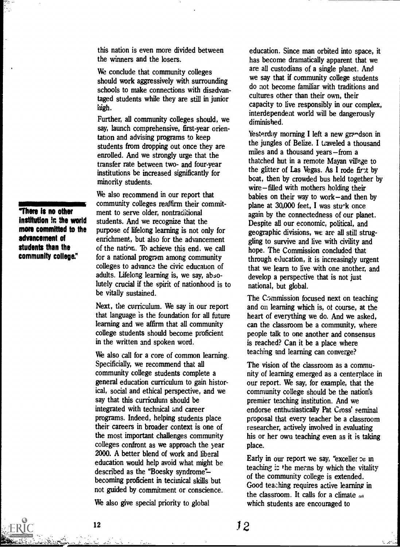this nation is even more divided between the winners and the losers.

We conclude that community colleges should work aggressively with surrounding schools to make connections with disadvantaged students while they are still in junior high.

Further, all community colleges should, we say, launch comprehensive, first-year orientation and advising programs to keep students from dropping out once they are enrolled. And we strongly urge that the transfer rate between two- and four-year institutions be increased significantly for minority students.

We also recommend in our report that community colleges reaffirm their commitment to serve older, nontraditional students. And we recognize that the purpose of lifelong learning is not only for enrichment, but also for the advancement of the nation.. To achieve this end. we call for a national program among community colleges to advance. the civic education of adults. Lifelong learning is, we say, absolutely crucial if the spirit of nationhood is to be vitally sustained.

Next, the curriculum. We say in our report that language is the foundation for all future learning and we affirm that all community college students should become proficient in the written and spoken word.

We also call for a core of common learning. Specificially, we recommend that all community college students complete a general education curriculum to gain historical, social and ethical perspective, and we say that this curriculum should be integrated with technical and career programs. Indeed, helping students place their careers in broader context is one of the most important challenges community colleges confront as we approach the year 2000. A better blend of work and liberal education would help avoid what might be described as the "Boesky syndrome"becoming proficient in technical skills but not guided by commitment or conscience.

We also give special priority to global

education. Since man orbited into space, it has become dramatically apparent that we are all custodians of a single planet. And we say that if community college students do not become familiar with traditions and cultures other than their own, their capacity to live responsibly in our complex, interdependent world will be dangerously diminished.

Yesterday morning I left a new grandson in the jungles of Belize. I traveled a thousand miles and a thousand years $-$ from a thatched but in a remote Mayan village to the glitter of Las Vegas. As I rode first by boat, then by crowded bus held together by  $wire$  – filled with mothers holding their babies on their way to work-and then by plane at  $30,000$  feet, I was sturk once again by the connectedness of our planet. Despite all our economic, political, and geographic divisions, we arc all still struggling to survive and live with civility and hope. The Commission concluded that through education, it is increasingly urgent that we learn to live with one another, and develop a perspective that is not just national, but global.

The Commission focused next on teaching and on learning which is, of course, at the heart of everything we do. And we asked, can the classroom be a community, where people talk to one another and consensus is reached? Can it be a place where teaching and learning can converge?

The vision of the classroom as a community of learning emerged as a centerplace in our report. We say, for example, that the community college should be the nation's premier teaching institution. And we endorse enthusiastically Pat Cross' seminal proposal that every teacher be a classroom researcher, actively involved in evaluating his or her own teaching even as it is taking place.

Early in our report we say, "exceller ce m teaching is the means by which the vitality of the community college is extended. Good teaching requires active learning in the classroom. It calls for a climate  $\omega$ which students are encouraged to

There is no other institution in the world more committed to the advancement of students than the community college."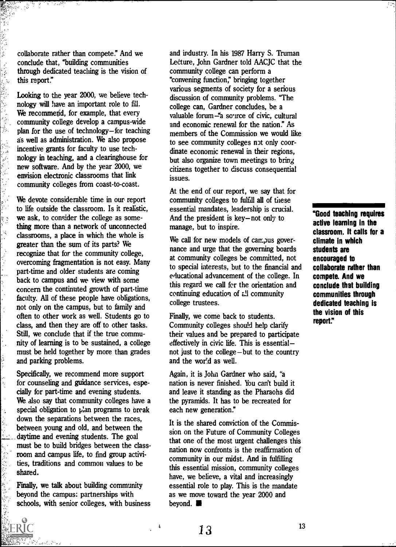collaborate rather than compete." And we conclude that, "building communities through dedicated teaching is the vision of this report."

经验

2019年1月

○ 本名 第一章 第一章

j.

ķ,

 $\ddot{\phantom{1}}$ 

Looking to the year 2000, we believe technology will have an important role to fill. We recommend, for example, that every community college develop a campus-wide plan for the use of technology—for teaching as well as administration. We also propose incentive grants for faculty to use technology in teaching, and a clearinghouse for new software. And by the year 2000, we envision electronic classrooms that link community colleges from coast-to-coast.

We devote considerable time in our report to life outside the classroom. Is it realistic, we ask, to consider the college as something more than a network of unconnected classrooms, a place in which the whole is greater than the sum of its parts? We recognize that for the community college, overcoming fragmentation is not easy. Many part-time and older students are coming back to campus and we view with some concern the continuted growth of part-time faculty. All of these people have obligations, not only on the campus, but to family and often to other work as well. Students go to class, and then they are off to other tasks. Still, we conclude that if the true community of learning is to be sustained, a college must be held together by more than grades and parking problems.

Specifically, we recommend more support for counseling and guidance services, especially for part-time and evening students. We also say that community colleges have a special obligation to plan programs to preak down the separations between the races, between young and old, and between the \_daytime and evening students. The goal must be to build bridges between the classroom and campus life, to find group activities, traditions and common values to be shared.

Finally, we talk about building community beyond the campus: partnerships with schools, with senior colleges, with business

and industry. In his 1987 Harry S. Truman Lecture, John Gardner told AACJC that the community college can perform a "convening function; bringing together various segments of society for a serious discussion of community problems. "The college can, Gardner concludes, be a valuable forum -"a source of civic, cultural and economic renewal for the nation." As members of the Commission we would like to see community colleges not only coordinate economic renewal in their regions, but also organize town meetings to bring citizens together to discuss consequential issues.

At the end of our report, we say that for community colleges to fulfill all of these essential mandates, leadership is crucial. And the president is key-not only to manage, but to inspire.

We call for new models of campus governance and urge that the governing boards at community colleges be committed, not to special interests, but to the financial and educational advancement of the college. In this regard we call for the orientation and continuing education of all community college trustees.

Finally, we come back to students. Community colleges should help clarify their values and be prepared to participate effectively in civic life. This is essential not just to the college  $-b$ ut to the country and the world as well.

Again, it is John Gardner who said, "a nation is never finished. You can't build it and leave it standing as the Pharaohs did the pyramids. It has to be recreated for each new generation."

It is the shared conviction of the Commission on the Future of Community Colleges that one of the most urgent challenges this nation now confronts is the reaffirmation of community in our midst. And in fulfilling this essential mission, community colleges have, we believe, a vital and increasingly essential role to play. This is the mandate as we move toward the year 2000 and beyond.

"Good teaching requires active learning in the classroom. It calls for a climate in which students are encouraged to collaborate rather than compete. And we conclude that building communities through dedicated teaching is the vision of this report:'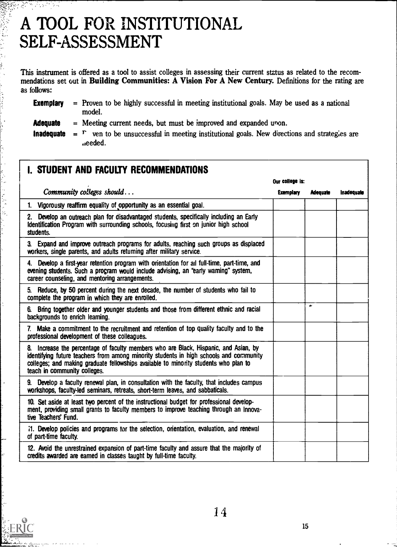# A TOOL FOR INSTITUTIONAL SELF-ASSESSMENT

.eeded.

V)<br>N

š.

ふんい かんごうち

This instrument is offered as a tool to assist colleges in assessing their current status as related to the recommendations set out in Building Communities: A Vision For A New Century. Definitions for the rating are as follows:

| <b>Exemplary</b>  | = Proven to be highly successful in meeting institutional goals. May be used as a national<br>model. |
|-------------------|------------------------------------------------------------------------------------------------------|
| <b>Adequate</b>   | $=$ Meeting current needs, but must be improved and expanded upon.                                   |
| <b>Inadequate</b> | ven to be unsuccessful in meeting institutional goals. New directions and strategies are<br>$r = r$  |

| I. STUDENT AND FACULTY RECOMMENDATIONS                                                                                                                                                                                                                                                                 |                  |                 |                   |
|--------------------------------------------------------------------------------------------------------------------------------------------------------------------------------------------------------------------------------------------------------------------------------------------------------|------------------|-----------------|-------------------|
|                                                                                                                                                                                                                                                                                                        | Our college is:  |                 |                   |
| Community colleges should                                                                                                                                                                                                                                                                              | <b>Exemplary</b> | <b>Adequate</b> | <b>Inadequate</b> |
| 1. Vigorously reaffirm equality of opportunity as an essential goal.                                                                                                                                                                                                                                   |                  |                 |                   |
| 2. Develop an outreach plan for disadvantaged students, specifically including an Early<br>Identification Program with surrounding schools, focusing first on junior high school<br>students.                                                                                                          |                  |                 |                   |
| 3. Expand and improve outreach programs for adults, reaching such groups as displaced<br>workers, single parents, and adults returning after military service.                                                                                                                                         |                  |                 |                   |
| 4. Develop a first-year retention program with orientation for all full-time, part-time, and<br>evening students. Such a program would include advising, an "early warning" system,<br>career counseling, and mentoring arrangements.                                                                  |                  |                 |                   |
| 5. Reduce, by 50 percent during the next decade, the number of students who fail to<br>complete the program in which they are enrolled.                                                                                                                                                                |                  |                 |                   |
| 6. Bring together older and younger students and those from different ethnic and racial<br>backgrounds to enrich learning.                                                                                                                                                                             |                  | $\bullet$       |                   |
| 7. Make a commitment to the recruitment and retention of top quality faculty and to the<br>professional development of these colleagues.                                                                                                                                                               |                  |                 |                   |
| 8. Increase the percentage of faculty members who are Black, Hispanic, and Asian, by<br>identifying future teachers from among minority students in high schools and community<br>colleges; and making graduate fellowships available to minority students who plan to<br>teach in community colleges. |                  |                 |                   |
| 9. Develop a faculty renewal plan, in consultation with the faculty, that includes campus<br>workshops, faculty-led seminars, retreats, short-term leaves, and sabbaticals.                                                                                                                            |                  |                 |                   |
| 10. Set aside at least two percent of the instructional budget for professional develop-<br>ment, providing small grants to faculty members to improve teaching through an Innova-<br>tive Teachers' Fund.                                                                                             |                  |                 |                   |
| 1. Develop policies and programs for the selection, orientation, evaluation, and renewal<br>of part-time faculty.                                                                                                                                                                                      |                  |                 |                   |
| 12. Avoid the unrestrained expansion of part-time faculty and assure that the majority of<br>credits awarded are earned in classes taught by full-time faculty.                                                                                                                                        |                  |                 |                   |
|                                                                                                                                                                                                                                                                                                        |                  |                 |                   |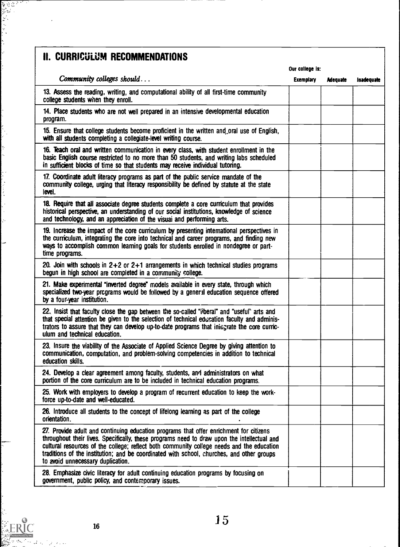### II. CURRICULUM RECOMMENDATIONS

1)<br>1990 - 1990 - 1990<br>1990 - 1990 - 1990 - 1990 - 1990 - 1990 - 1990 - 1990 - 1990 - 1990 - 1990 - 1990 - 1990 - 1990 - 1990 - 1990<br>1990 - 1990 - 1990 - 1990 - 1990 - 1990 - 1990 - 1990 - 1990 - 1990 - 1990 - 1990 - 1990 -

Ń. Ļ,

ł,

 $\frac{1}{2}$ 

¢  $\tilde{\mathcal{S}}_k$ 

 $\cdot$ J, ķ,

⊶

|                                                                                                                                                                                                                                                                                                                                                                                                                      |                  | Our college is: |            |  |
|----------------------------------------------------------------------------------------------------------------------------------------------------------------------------------------------------------------------------------------------------------------------------------------------------------------------------------------------------------------------------------------------------------------------|------------------|-----------------|------------|--|
| Community colleges should                                                                                                                                                                                                                                                                                                                                                                                            | <b>Exemplary</b> | <b>Adequate</b> | Inadequate |  |
| 13. Assess the reading, writing, and computational ability of all first-time community<br>college students when they enroll.                                                                                                                                                                                                                                                                                         |                  |                 |            |  |
| 14. Place students who are not well prepared in an intensive developmental education<br>program.                                                                                                                                                                                                                                                                                                                     |                  |                 |            |  |
| 15. Ensure that college students become proficient in the written and oral use of English,<br>with all students completing a collegiate-level writing course.                                                                                                                                                                                                                                                        |                  |                 |            |  |
| 16. Teach oral and written communication in every class, with student enrollment in the<br>basic English course restricted to no more than 50 students, and writing labs scheduled<br>in sufficient blocks of time so that students may receive individual tutoring.                                                                                                                                                 |                  |                 |            |  |
| 17. Coordinate adult literacy programs as part of the public service mandate of the<br>community college, urging that literacy responsibility be defined by statute at the state<br>level.                                                                                                                                                                                                                           |                  |                 |            |  |
| 18. Require that all associate degree students complete a core curriculum that provides<br>historical perspective, an understanding of our social institutions, knowledge of science<br>and technology, and an appreciation of the visual and performing arts.                                                                                                                                                       |                  |                 |            |  |
| 19. Increase the impact of the core curriculum by presenting international perspectives in<br>the curriculum, integrating the core into technical and career programs, and finding new<br>ways to accomplish common leaming goals for students enrolled in nondegree or part-<br>time programs.                                                                                                                      |                  |                 |            |  |
| 20. Join with schools in $2+2$ or $2+1$ arrangements in which technical studies programs<br>begun in high school are completed in a community college.                                                                                                                                                                                                                                                               |                  |                 |            |  |
| 21. Make experimental "inverted degree" models available in every state, through which<br>specialized two-year programs would be followed by a general education sequence offered<br>by a four-year institution.                                                                                                                                                                                                     |                  |                 |            |  |
| 22. Insist that faculty close the gap between the so-called "iiberal" and "useful" arts and<br>that special attention be given to the selection of technical education faculty and adminis-<br>trators to assure that they can develop up-to-date programs that integrate the core curric-<br>ulum and technical education.                                                                                          |                  |                 |            |  |
| 23. Insure the viability of the Associate of Applied Science Degree by giving attention to<br>communication, computation, and problem-solving competencies in addition to technical<br>education skills.                                                                                                                                                                                                             |                  |                 |            |  |
| 24. Develop a clear agreement among faculty, students, and administrators on what<br>portion of the core curriculum are to be included in technical education programs.                                                                                                                                                                                                                                              |                  |                 |            |  |
| 25. Work with employers to develop a program of recurrent education to keep the work-<br>force up-to-date and well-educated.                                                                                                                                                                                                                                                                                         |                  |                 |            |  |
| 26. Introduce all students to the concept of lifelong learning as part of the college<br>orientation.                                                                                                                                                                                                                                                                                                                |                  |                 |            |  |
| 27. Provide adult and continuing education programs that offer enrichment for citizens<br>throughout their lives. Specifically, these programs need to draw upon the intellectual and<br>cultural resources of the college; reflect both community college needs and the education<br>traditions of the institution; and be coordinated with school, churches, and other groups<br>to avoid unnecessary duplication. |                  |                 |            |  |
| 28. Emphasize civic literacy for adult continuing education programs by focusing on<br>government, public policy, and contemporary issues.                                                                                                                                                                                                                                                                           |                  |                 |            |  |
|                                                                                                                                                                                                                                                                                                                                                                                                                      |                  |                 |            |  |

ta jar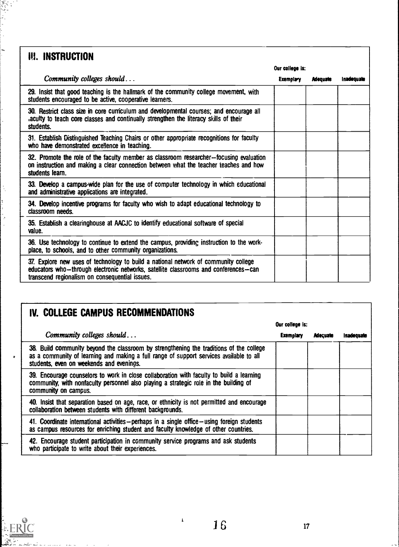### III. INSTRUCTION

 $\frac{1}{2}$ 

 $\frac{1}{2}$ 

|                                                                                                                                                                                                                              |                  | Our college is: |            |  |
|------------------------------------------------------------------------------------------------------------------------------------------------------------------------------------------------------------------------------|------------------|-----------------|------------|--|
| Community colleges should                                                                                                                                                                                                    | <b>Exemplary</b> | <b>Adequate</b> | Inadequate |  |
| 29. Insist that good teaching is the hallmark of the community college movement, with<br>students encouraged to be active, cooperative learners.                                                                             |                  |                 |            |  |
| 30. Restrict class size in core curriculum and developmental courses; and encourage all<br>aculty to teach core classes and continually strengthen the literacy skills of their<br>students.                                 |                  |                 |            |  |
| 31. Establish Distinguished Teaching Chairs or other appropriate recognitions for faculty<br>who have demonstrated excellence in teaching.                                                                                   |                  |                 |            |  |
| 32. Promote the role of the faculty member as classroom researcher-focusing evaluation<br>on instruction and making a clear connection between what the teacher teaches and how<br>students learn.                           |                  |                 |            |  |
| 33. Develop a campus-wide plan for the use of computer technology in which educational<br>and administrative applications are integrated.                                                                                    |                  |                 |            |  |
| 34. Develop incentive programs for faculty who wish to adapt educational technology to<br>classroom needs                                                                                                                    |                  |                 |            |  |
| 35. Establish a clearinghouse at AACJC to identify educational software of special<br>value.                                                                                                                                 |                  |                 |            |  |
| 36. Use technology to continue to extend the campus, providing instruction to the work-<br>place, to schools, and to other community organizations.                                                                          |                  |                 |            |  |
| 37. Explore new uses of technology to build a national network of community college<br>educators who-through electronic networks, satellite classrooms and conferences-can<br>transcend regionalism on consequential issues. |                  |                 |            |  |

### IV. COLLEGE CAMPUS RECOMMENDATIONS

|                                                                                                                                                                                                                                | Our college is:  |                 |                   |
|--------------------------------------------------------------------------------------------------------------------------------------------------------------------------------------------------------------------------------|------------------|-----------------|-------------------|
| Community colleges should                                                                                                                                                                                                      | <b>Exemplary</b> | <b>Adecuate</b> | <b>Inadequate</b> |
| 38. Build community beyond the classroom by strengthening the traditions of the college<br>as a community of learning and making a full range of support services available to all<br>students, even on weekends and evenings. |                  |                 |                   |
| 39. Encourage counselors to work in close collaboration with faculty to build a learning<br>community, with nonfaculty personnel also playing a strategic role in the building of<br>community on campus.                      |                  |                 |                   |
| 40. Insist that separation based on age, race, or ethnicity is not permitted and encourage<br>collaboration between students with different backgrounds.                                                                       |                  |                 |                   |
| 41. Coordinate international activities – perhaps in a single office – using foreign students<br>as campus resources for enriching student and faculty knowledge of other countries.                                           |                  |                 |                   |
| 42. Encourage student participation in community service programs and ask students<br>who participate to write about their experiences.                                                                                        |                  |                 |                   |



 $\mathbf{i}$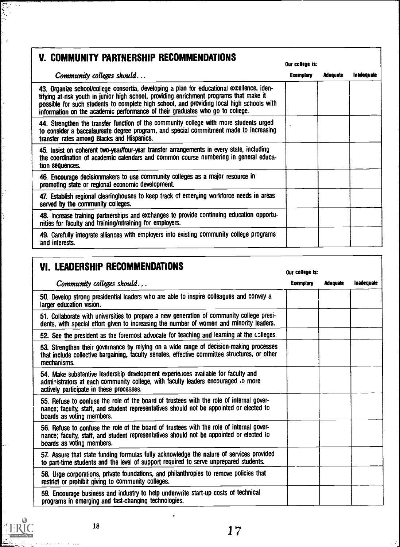| V. COMMUNITY PARTNERSHIP RECOMMENDATIONS                                                                                                                                                                                                                                                                                                                            | Our college is:  |                 |            |
|---------------------------------------------------------------------------------------------------------------------------------------------------------------------------------------------------------------------------------------------------------------------------------------------------------------------------------------------------------------------|------------------|-----------------|------------|
| Community colleges should                                                                                                                                                                                                                                                                                                                                           | <b>Exemplary</b> | <b>Adequate</b> | Inadequate |
| 43. Organize school/college consortia, developing a plan for educational excellence, iden-<br>tifying at-risk youth in junior high school, providing enrichment programs that make it<br>possible for such students to complete high school, and providing local high schools with<br>information on the academic performance of their graduates who go to college. |                  |                 |            |
| 44. Strengthen the transfer function of the community college with more students urged<br>to consider a baccalaureate degree program, and special commitment made to increasing<br>transfer rates among Blacks and Hispanics.                                                                                                                                       |                  |                 |            |
| 45. Insist on coherent two-year/four-year transfer arrangements in every state, including<br>the coordination of academic calendars and common course numbering in general educa-<br>tion sequences.                                                                                                                                                                |                  |                 |            |
| 46. Encourage decisionmakers to use community colleges as a major resource in<br>promoting state or regional economic development.                                                                                                                                                                                                                                  |                  |                 |            |
| 47. Establish regional clearinghouses to keep track of emerying workforce needs in areas<br>served by the community colleges.                                                                                                                                                                                                                                       |                  |                 |            |
| 48. Increase training partnerships and exchanges to provide continuing education opportu-<br>nities for faculty and training/retraining for employers.                                                                                                                                                                                                              |                  |                 |            |
| 49. Carefully integrate alliances with employers into existing community college programs<br>and interests.                                                                                                                                                                                                                                                         |                  |                 |            |

### VI. LEADERSHIP RECOMMENDATIONS Our college is:

و درمانهای<br>بر ایرانیانی  $\sim$ 

, s

 $\ddot{\phantom{0}}$ ł

 $\frac{1}{2}$ 

 $\ddot{\cdot}$ 

 $\frac{1}{2}$ 

by ERIC

| Community colleges should                                                                                                                                                                                          | <b>Exemplary</b> | <b>Adequate</b> | Inadequate |
|--------------------------------------------------------------------------------------------------------------------------------------------------------------------------------------------------------------------|------------------|-----------------|------------|
| 50. Develop strong presidential leaders who are able to inspire colleagues and convey a<br>larger education vision.                                                                                                |                  |                 |            |
| 51. Collaborate with universities to prepare a new generation of community college presi-<br>dents, with special effort given to increasing the number of women and minority leaders.                              |                  |                 |            |
| 52. See the president as the foremost advocate for teaching and learning at the colleges.                                                                                                                          |                  |                 |            |
| 53. Strengthen their governance by relying on a wide range of decision-making processes<br>that include collective bargaining, faculty senates, effective committee structures, or other<br>mechanisms.            |                  |                 |            |
| 54. Make substantive leadership development experiences available for faculty and<br>administrators at each community college, with faculty leaders encouraged to more<br>actively participate in these processes. |                  |                 |            |
| 55. Refuse to confuse the role of the board of trustees with the role of internal gover-<br>nance; faculty, staff, and student representatives should not be appointed or elected to<br>boards as voting members.  |                  |                 |            |
| 56. Refuse to confuse the role of the board of trustees with the role of internal gover-<br>nance; faculty, staff, and student representatives should not be appointed or elected to<br>boards as voting members.  |                  |                 |            |
| 57. Assure that state funding formulas fully acknowledge the nature of services provided<br>to part-time students and the level of support required to serve unprepared students.                                  |                  |                 |            |
| 58. Urge corporations, private foundations, and philanthropies to remove policies that<br>restrict or prohibit giving to community colleges.                                                                       |                  |                 |            |
| 59. Encourage business and industry to help underwrite start-up costs of technical<br>programs in emerging and fast-changing technologies.                                                                         |                  |                 |            |

 $\cdot$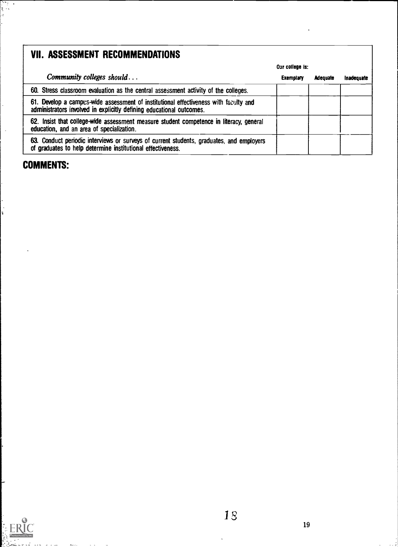### VII. ASSESSMENT RECOMMENDATIONS

|                                                                                                                                                              | Our college is:  |                 |            |
|--------------------------------------------------------------------------------------------------------------------------------------------------------------|------------------|-----------------|------------|
| Community colleges should                                                                                                                                    | <b>Exemplary</b> | <b>Adequate</b> | inadequate |
| 60. Stress classroom evaluation as the central assessment activity of the colleges.                                                                          |                  |                 |            |
| 61. Develop a campus-wide assessment of institutional effectiveness with faculty and<br>administrators involved in explicitly defining educational outcomes. |                  |                 |            |
| 62. Insist that college-wide assessment measure student competence in literacy, general<br>education, and an area of specialization.                         |                  |                 |            |
| 63. Conduct periodic interviews or surveys of current students, graduates, and employers<br>of graduates to help determine institutional effectiveness.      |                  |                 |            |

### COMMENTS:

राष्ट्र<br>इ.स

÷,

 $\ddot{\cdot}$ 

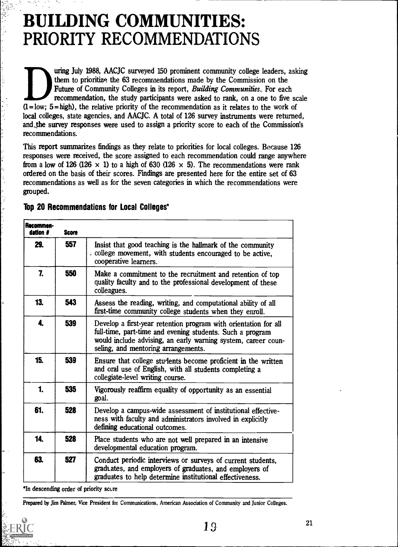## BUILDING COMMUNITIES: PRIORITY RECOMMENDATIONS

uring July 1988, AACJC surveyed 150 prominent community college leaders, asking them to prioritize the 63 recommendations made by the Commission on the Future of Community Colleges in its report, Building Communities. For each recommendation, the study participants were asked to rank, on a one to five scale  $(1 = low; 5 = high)$ , the relative priority of the recommendation as it relates to the work of local colleges, state agencies, and AACJC. A total of 126 survey instruments were returned, and the survey responses were used to assign a priority score to each of the Commission's recommendations.

This report summarizes findings as they relate to priorities for local colleges. Because 126 responses were received, the score assigned to each recommendation could range anywhere from a low of 126 (126  $\times$  1) to a high of 630 (126  $\times$  5). The recommendations were rank ordered on the basis of their scores. Findings are presented here for the entire set of 63 recommendations as well as for the seven categories in which the recommendations were grouped.

| Recommen-<br>dation # | <b>Score</b> |                                                                                                                                                                                                                                      |  |
|-----------------------|--------------|--------------------------------------------------------------------------------------------------------------------------------------------------------------------------------------------------------------------------------------|--|
| 29.                   | 557          | Insist that good teaching is the hallmark of the community<br>college movement, with students encouraged to be active,<br>cooperative learners.                                                                                      |  |
| 7.                    | 550          | Make a commitment to the recruitment and retention of top<br>quality faculty and to the professional development of these<br>colleagues.                                                                                             |  |
| 13.                   | 543          | Assess the reading, writing, and computational ability of all<br>first-time community college students when they enroll.                                                                                                             |  |
| 4.                    | 539          | Develop a first-year retention program with orientation for all<br>full-time, part-time and evening students. Such a program<br>would include advising, an early warning system, career coun-<br>seling, and mentoring arrangements. |  |
| 15.                   | 539          | Ensure that college students become proficient in the written<br>and oral use of English, with all students completing a<br>collegiate-level writing course.                                                                         |  |
| 1.                    | 535          | Vigorously reaffirm equality of opportunity as an essential<br>goal.                                                                                                                                                                 |  |
| 61.                   | 528          | Develop a campus-wide assessment of institutional effective-<br>ness with faculty and administrators involved in explicitly<br>defining educational outcomes.                                                                        |  |
| 14.                   | 528          | Place students who are not well prepared in an intensive<br>developmental education program.                                                                                                                                         |  |
| 63.                   | 527          | Conduct periodic interviews or surveys of current students,<br>graduates, and employers of graduates, and employers of<br>graduates to help determine institutional effectiveness.                                                   |  |

#### Top 20 Recommendations for Local Colleges\*

'In descending order of priority score

Prepared by Jim Palmer, Vice President for Communications, American Association of Community and Junior Colleges.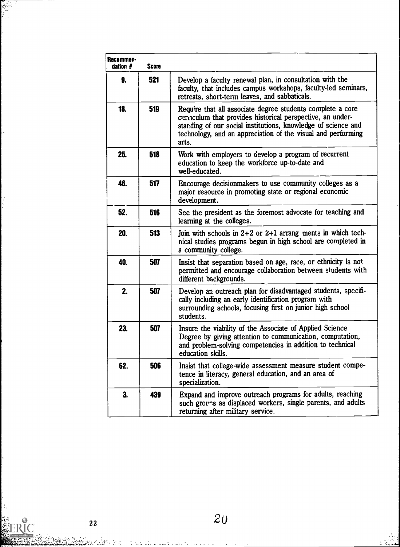| <b>Recommen</b><br>dation $#$ | <b>Score</b> |                                                                                                                                                                                                                                                                    |  |
|-------------------------------|--------------|--------------------------------------------------------------------------------------------------------------------------------------------------------------------------------------------------------------------------------------------------------------------|--|
| 9.                            | 521          | Develop a faculty renewal plan, in consultation with the<br>faculty, that includes campus workshops, faculty-led seminars,<br>retreats, short-term leaves, and sabbaticals.                                                                                        |  |
| 18.                           | 519          | Require that all associate degree students complete a core<br>curriculum that provides historical perspective, an under-<br>standing of our social institutions, knowledge of science and<br>technology, and an appreciation of the visual and performing<br>arts. |  |
| 25.                           | 518          | Work with employers to develop a program of recurrent<br>education to keep the workforce up-to-date and<br>well-educated.                                                                                                                                          |  |
| 46.                           | 517          | Encourage decisionmakers to use community colleges as a<br>major resource in promoting state or regional economic<br>development.                                                                                                                                  |  |
| 52.                           | 516          | See the president as the foremost advocate for teaching and<br>learning at the colleges.                                                                                                                                                                           |  |
| 20.                           | 513          | Join with schools in $2+2$ or $2+1$ arrang ments in which tech-<br>nical studies programs begun in high school are completed in<br>a community college.                                                                                                            |  |
| 40.                           | 507          | Insist that separation based on age, race, or ethnicity is not<br>permitted and encourage collaboration between students with<br>different backgrounds.                                                                                                            |  |
| 2.                            | 507          | Develop an outreach plan for disadvantaged students, specifi-<br>cally including an early identification program with<br>surrounding schools, focusing first on junior high school<br>students.                                                                    |  |
| 23.                           | 507          | Insure the viability of the Associate of Applied Science<br>Degree by giving attention to communication, computation,<br>and problem-solving competencies in addition to technical<br>education skills.                                                            |  |
| 62.                           | 506          | Insist that college-wide assessment measure student compe-<br>tence in literacy, general education, and an area of<br>specialization.                                                                                                                              |  |
| 3.                            | 439          | Expand and improve outreach programs for adults, reaching<br>such groups as displaced workers, single parents, and adults<br>returning after military service.                                                                                                     |  |

22

 $\mathcal{L}_{\mathcal{C}}$ 

**ERIC** 

 $\frac{1}{2} \sum_{i=1}^n \sum_{j=1}^n \frac{1}{j!} \sum_{j=1}^n \frac{1}{j!} \sum_{j=1}^n \frac{1}{j!} \sum_{j=1}^n \frac{1}{j!} \sum_{j=1}^n \frac{1}{j!} \sum_{j=1}^n \frac{1}{j!} \sum_{j=1}^n \frac{1}{j!} \sum_{j=1}^n \frac{1}{j!} \sum_{j=1}^n \frac{1}{j!} \sum_{j=1}^n \frac{1}{j!} \sum_{j=1}^n \frac{1}{j!} \sum_{j=1}^n \frac{1}{j!}$ 

:<br>بالمركب بن<br>ماهاسايياتا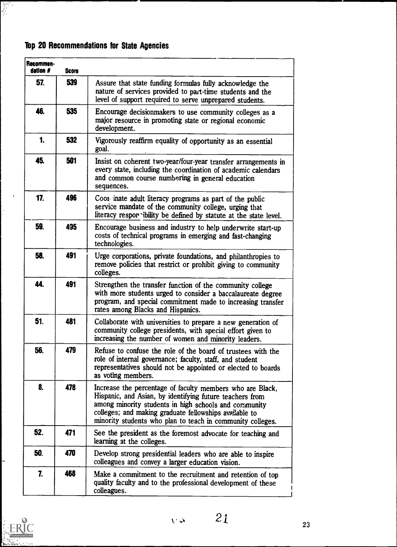### Top 20 Recommendations for State Agencies

 $\mathbf{r}$ 

 $\frac{1}{2}$ 

| Recommen-<br>dation # | <b>Score</b> |                                                                                                                                                                                                                                                                                                        |  |
|-----------------------|--------------|--------------------------------------------------------------------------------------------------------------------------------------------------------------------------------------------------------------------------------------------------------------------------------------------------------|--|
| 57.                   | 539          | Assure that state funding formulas fully acknowledge the<br>nature of services provided to part-time students and the<br>level of support required to serve unprepared students.                                                                                                                       |  |
| 46.                   | 535          | Encourage decisionmakers to use community colleges as a<br>major resource in promoting state or regional economic<br>development.                                                                                                                                                                      |  |
| 1.                    | 532          | Vigorously reaffirm equality of opportunity as an essential<br>goal.                                                                                                                                                                                                                                   |  |
| 45.                   | 501          | Insist on coherent two-year/four-year transfer arrangements in<br>every state, including the coordination of academic calendars<br>and common course numbering in general education<br>sequences.                                                                                                      |  |
| 17.                   | 496          | Coor inate adult literacy programs as part of the public<br>service mandate of the community college, urging that<br>literacy respor ibility be defined by statute at the state level.                                                                                                                 |  |
| 59.                   | 495          | Encourage business and industry to help underwrite start-up<br>costs of technical programs in emerging and fast-changing<br>technologies.                                                                                                                                                              |  |
| 58.                   | 491          | Urge corporations, private foundations, and philanthropies to<br>remove policies that restrict or prohibit giving to community<br>colleges.                                                                                                                                                            |  |
| 44.                   | 491          | Strengthen the transfer function of the community college<br>with more students urged to consider a baccalaureate degree<br>program, and special commitment made to increasing transfer<br>rates among Blacks and Hispanics.                                                                           |  |
| 51.                   | 481          | Collaborate with universities to prepare a new generation of<br>community college presidents, with special effort given to<br>increasing the number of women and minority leaders.                                                                                                                     |  |
| 56.                   | 479          | Refuse to confuse the role of the board of trustees with the<br>role of internal governance; faculty, staff, and student<br>representatives should not be appointed or elected to boards<br>as voting members.                                                                                         |  |
| 8.                    | 478          | Increase the percentage of faculty members who are Black,<br>Hispanic, and Asian, by identifying future teachers from<br>among minority students in high schools and community<br>colleges; and making graduate fellowships available to<br>minority students who plan to teach in community colleges. |  |
| 52.                   | 471          | See the president as the foremost advocate for teaching and<br>learning at the colleges.                                                                                                                                                                                                               |  |
| 50.                   | 470          | Develop strong presidential leaders who are able to inspire<br>colleagues and convey a larger education vision.                                                                                                                                                                                        |  |
| 7.                    | 468          | Make a commitment to the recruitment and retention of top<br>quality faculty and to the professional development of these<br>colleagues.                                                                                                                                                               |  |



÷.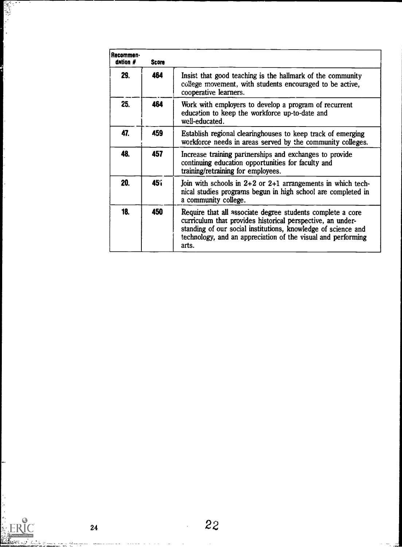| Recommen-<br>dation # | <b>Score</b> |                                                                                                                                                                                                                                                                    |
|-----------------------|--------------|--------------------------------------------------------------------------------------------------------------------------------------------------------------------------------------------------------------------------------------------------------------------|
| 29.                   | 464          | Insist that good teaching is the hallmark of the community<br>college movement, with students encouraged to be active,<br>cooperative learners.                                                                                                                    |
| 25.                   | 464          | Work with employers to develop a program of recurrent<br>education to keep the workforce up-to-date and<br>well-educated.                                                                                                                                          |
| 47.                   | 459          | Establish regional clearinghouses to keep track of emerging<br>workforce needs in areas served by the community colleges.                                                                                                                                          |
| 48.                   | 457          | Increase training partnerships and exchanges to provide<br>continuing education opportunities for faculty and<br>training/retraining for employees.                                                                                                                |
| 20.                   | 45î          | Join with schools in $2+2$ or $2+1$ arrangements in which tech-<br>nical studies programs begun in high school are completed in<br>a community college.                                                                                                            |
| 18.                   | 450          | Require that all associate degree students complete a core<br>curriculum that provides historical perspective, an under-<br>standing of our social institutions, knowledge of science and<br>technology, and an appreciation of the visual and performing<br>arts. |

しょうしょう

 $\boxed{\prod\limits_{j\neq n}\prod\limits_{i=1}^{n}\sum\limits_{\text{Pounded by EIR}}}}$ 

22

 $\hat{\mathcal{A}}$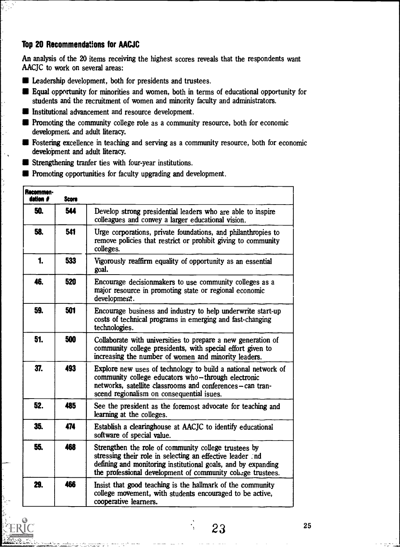#### Top 20 Recommendations for AACJC

 $\ddot{\phantom{a}}$ 

 $\mathcal{A}_{\mathcal{A}}$ 

 $\frac{1}{2}$  $\overline{a}$ 

An analysis of the 20 items receiving the highest scores reveals that the respondents want AACJC to work on several areas:

- **Leadership development, both for presidents and trustees.**
- Equal opportunity for minorities and women, both in terms of educational opportunity for students and the recruitment of women and minority faculty and administrators.
- **Institutional advancement and resource development.**
- **Promoting the community college role as a community resource, both for economic** development and adult literacy.
- **Fostering excellence in teaching and serving as a community resource, both for economic** development and adult literacy.
- **Strengthening tranfer ties with four-year institutions.**
- **Promoting opportunities for faculty upgrading and development.**

| Recommen-<br>dation # | <b>Score</b> |                                                                                                                                                                                                                                                  |  |
|-----------------------|--------------|--------------------------------------------------------------------------------------------------------------------------------------------------------------------------------------------------------------------------------------------------|--|
| 50.                   | 544          | Develop strong presidential leaders who are able to inspire<br>colleagues and convey a larger educational vision.                                                                                                                                |  |
| 58.                   | 541          | Urge corporations, private foundations, and philanthropies to<br>remove policies that restrict or prohibit giving to community<br>colleges.                                                                                                      |  |
| 1.                    | 533          | Vigorously reaffirm equality of opportunity as an essential<br>goal.                                                                                                                                                                             |  |
| 46.                   | 520          | Encourage decisionmakers to use community colleges as a<br>major resource in promoting state or regional economic<br>development.                                                                                                                |  |
| 59.                   | 501          | Encourage business and industry to help underwrite start-up<br>costs of technical programs in emerging and fast-changing<br>technologies.                                                                                                        |  |
| 51.                   | 500          | Collaborate with universities to prepare a new generation of<br>community college presidents, with special effort given to<br>increasing the number of women and minority leaders.                                                               |  |
| 37.                   | 493          | Explore new uses of technology to build a national network of<br>community college educators who-through electronic<br>networks, satellite classrooms and conferences-can tran-<br>scend regionalism on consequential isues.                     |  |
| 52.                   | 485          | See the president as the foremost advocate for teaching and<br>learning at the colleges.                                                                                                                                                         |  |
| 35.                   | 474          | Establish a clearinghouse at AACJC to identify educational<br>software of special value.                                                                                                                                                         |  |
| 55.                   | 468          | Strengthen the role of community college trustees by<br>stressing their role in selecting an effective leader and<br>defining and monitoring institutional goals, and by expanding<br>the professional development of community coluge trustees. |  |
| 29.                   | 466          | Insist that good teaching is the hallmark of the community<br>college movement, with students encouraged to be active,<br>cooperative learners.                                                                                                  |  |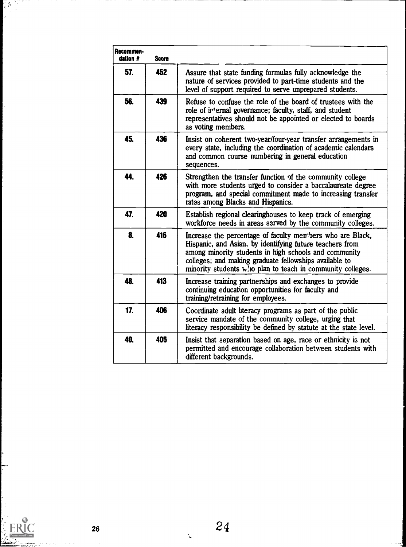| Recommen-<br>dation # | <b>Score</b> |                                                                                                                                                                                                                                                                                                                    |  |
|-----------------------|--------------|--------------------------------------------------------------------------------------------------------------------------------------------------------------------------------------------------------------------------------------------------------------------------------------------------------------------|--|
| 57.                   | 452          | Assure that state funding formulas fully acknowledge the<br>nature of services provided to part-time students and the<br>level of support required to serve unprepared students.                                                                                                                                   |  |
| 56.                   | 439          | Refuse to confuse the role of the board of trustees with the<br>role of internal governance; faculty, staff, and student<br>representatives should not be appointed or elected to boards<br>as voting members.                                                                                                     |  |
| 45.                   | 436          | Insist on coherent two-year/four-year transfer arrangements in<br>every state, including the coordination of academic calendars<br>and common course numbering in general education<br>sequences.                                                                                                                  |  |
| 44.                   | 426          | Strengthen the transfer function of the community college<br>with more students urged to consider a baccalaureate degree<br>program, and special commitment made to increasing transfer<br>rates among Blacks and Hispanics.                                                                                       |  |
| 47.                   | 420          | Establish regional clearinghouses to keep track of emerging<br>workforce needs in areas served by the community colleges.                                                                                                                                                                                          |  |
| 8.                    | 416          | Increase the percentage of faculty members who are Black,<br>Hispanic, and Asian, by identifying future teachers from<br>among minority students in high schools and community<br>colleges; and making graduate fellowships available to<br>minority students $\mathbf{v}$ ho plan to teach in community colleges. |  |
| 48.                   | 413          | Increase training partnerships and exchanges to provide<br>continuing education opportunities for faculty and<br>training/retraining for employees.                                                                                                                                                                |  |
| 17.                   | 406          | Coordinate adult literacy programs as part of the public<br>service mandate of the community college, urging that<br>literacy responsibility be defined by statute at the state level.                                                                                                                             |  |
| 40.                   | 405          | Insist that separation based on age, race or ethnicity is not<br>permitted and encourage collaboration between students with<br>different backgrounds.                                                                                                                                                             |  |

ERIC

Į.

 $\sim$  . . .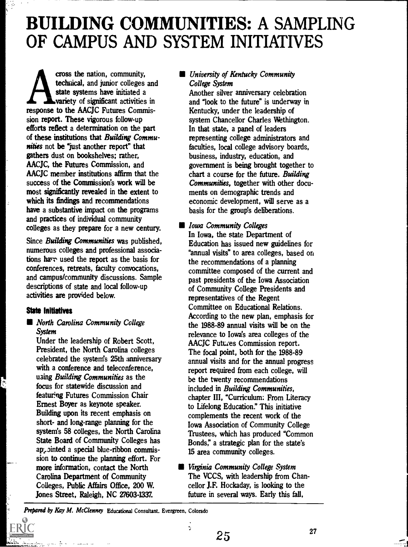## BUILDING COMMUNITIES: A SAMPLING OF CAMPUS AND SYSTEM INITIATIVES

cross the nation, community,<br>technical, and junior colleges and<br>state systems have initiated a<br>variety of significant activities in<br>response to the AACJC Futures Commiscross the nation, community, cross technical, and junior colleges and variety of significant activities in sion report. These vigorous follow-up efforts reflect a determination on the part of these institutions that Building Communities not be "just another report" that gathers dust on bookshelves; rather, AACJC, the Futures Commission, and AACJC member institutions affirm that the success of the Commission's work will be most significantly revealed in the extent to which its findings and recommendations have a substantive impact on the programs and practices of individual community colleges as they prepare for a new century.

Since Building Communities was published. numerous colleges and professional associations have used the report as the basis for conferences, retreats, faculty convocations, and campus/community discussions. Sample descriptions of state and local follow-up activities are provided below.

#### State Initiatives

**North Carolina Community College System** 

Under the leadership of Robert Scott, President, the North Carolina colleges celebrated the system's 25th anniversary with a conference and teleconference. using Building Communities as the focus for statewide discussion and featuring Futures Commission Chair Ernest Boyer as keynote speaker. Building upon its recent emphasis on short- and long-range planning for the system's 58 colleges, the North Carolina State Board of Community Colleges has aption and a special blue-ribbon commission to continue the planning effort. For more information, contact the North Carolina Department of Community Colleges, Public Affairs Office, 200 W. Jones Street, Raleigh, NC 27603-1337.

#### **University of Kentucky Community** College System

Another silver anniversary celebration and "look to the future" is underway in Kentucky, under the leadership of system Chancellor Charles Wethington. In that state, a panel of leaders representing college administrators and faculties, local college advisory boards, business, industry, education, and government is being brought together to chart a course for the future. Building Communities, together with other documents on demographic trends and economic development, will serve as a basis for the group's deliberations.

#### **In Iowa Community Colleges** In Iowa, the state Department of Education has issued new guidelines for "annual visits" to area colleges, based on the recommendations of a planning committee composed of the current and past presidents of the Iowa Association of Community College Presidents and representatives of the Regent Committee on Educational Relations. According to the new plan, emphasis for the 1988-89 annual visits will be on the relevance to Iowa's area colleges of the AACJC Futures Commission report. The focal point, both for the 1988-89 annual visits and for the annual progress report required from each college, will be the twenty recommendations included in Building Communities, chapter III, "Curriculum: From Literacy to Lifelong Education." This initiative complements the recent work of the Iowa Association of Community College Trustees, which has produced "Common Bonds," a strategic plan for the state's 15 area community colleges.

**E** Virginia Community College System The VCCS, with leadership from Chancellor J.F. Hockaday, is looking to the future in several ways. Early this fall,

Prepared by Kay M. McClenney Educational Consultant. Evergreen, Colorado

 $\overline{\mathbf{r}}$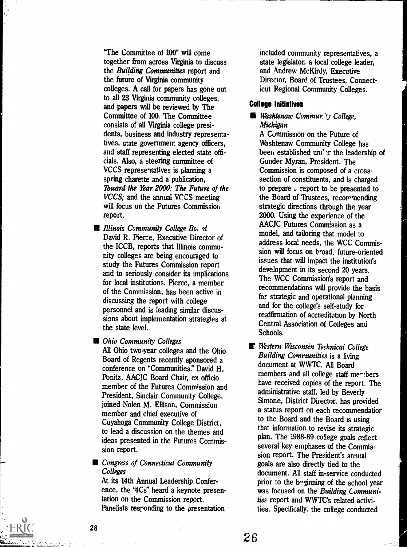"The Committee of 100" will come together from across Virginia to discuss the Building Communities report and the future of Virginia community colleges. A call for papers has gone out to all 23 Virginia community colleges, and papers will be reviewed by The Committee of 100. The Committee consists of all Virginia college presidents, business and industry representatives, state government agency officers, and staff representing elected state officials. Also, a steering committee of VCCS representatives is planning a spring charette and a publication, Toward the Year 2000: The Future of the VCCS; and the annual VCCS meeting will focus on the Futures Commission report.

- **Illinois Community College Bo, d** David R. Pierce, Executive Director of the ICCB, reports that Illinois community colleges are being encouraged to study the Futures Commission report and to seriously consider its implications for local institutions. Pierce, a member of the Commission, has been active in discussing the report with college personnel and is leading similar discussions about implementation strategies at the state level.
- **Community Colleges**

All Ohio two-year colleges and the Ohio Board of Regents recently sponsored a conference on "Communities?' David H. Ponitz, AACJC Board Chair, ex officio member of the Futures Commission and President, Sinclair Community College, joined Nolen M. Ellison, Commission member and chief executive of Cuyahoga Community College District, to lead a discussion on the themes and ideas presented in the Futures Commission report.

#### **Congress of Connecticut Community** Colleges

At its 14th Annual Leadership Conference, the "4Cs" heard a keynote presentation on the Commission report. Panelists responding to the presentation

included community representatives, a state legislator, a local college leader, and Andrew McKirdy, Executive Director, Board of Trustees, Connecticut Regional Community Colleges.

#### College Initiatives

#### Washtenaw Commur: y College, Michigan

A Commission on the Future of Washtenaw Community College has been established under the leadership of Gunder Myran, President. The Commission is composed of a crosssection of constituents, and is charged to prepare  $\sqrt{r}$  report to be presented to the Board of Trustees, recommending strategic directions through the year 2000. Using the experience of the AACJC Futures Commission as a model, and tailoring that model to address local needs, the WCC Commission will focus on broad, future-oriented issues that will impact the institution's development in its second 20 years. The WCC Commission's report and recommendations will provide the basis for strategic and operational planning and for the college's self-study for reaffirmation of accreditztion by North Central Association of Colleges and Schools.

E Western Wisconsin Technical College Building Communities is a living document at WWTC. All Board members and all college staff members have received copies of the report. The administrative staff, led by Beverly Simone, District Director, has provided a status report on each recommendatior to the Board and the Board is using that information to revise its strategic plan. The 1988-89 college goals reflect several key emphases of the Commission report. The President's annual goals are also directly tied to the document. All staff in-service conducted prior to the b-ginning of the school year was focused on the Building Communities report and WWTC's related activities. Specifically, the college conducted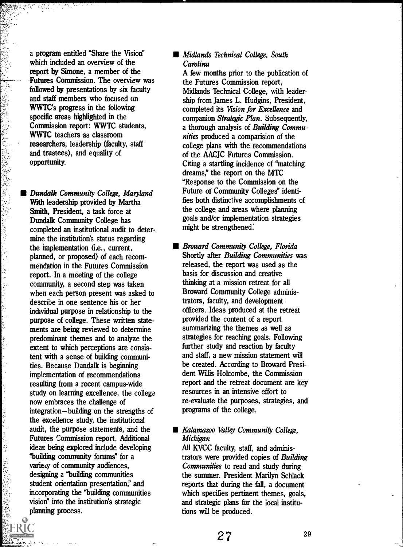a program entitled "Share the Vision" which included an overview of the report by Simone, a member of the Futures Commission. The overview was followed by presentations by six faculty and staff members who focused on WWTC's progress in the following specific areas highlighted in the Commission report: WWTC students, WWTC teachers as classroom researchers, leadership (faculty, staff and trustees), and equality of opportunity.

除露路

ేష్ ఈ స్టాల్స్ తెలుగు కొంది. ఈ స్టాల్స్ కొంది ఇంటీ ప్రైవేటు స్టాల్స్ కొంది.<br>ఇక సంస్థ సంస్థ సంఘం కార్యకర్మ సంస్థ సంస్థ సంస్థ సంస్థ సంస్థ సంస్థ సంస్థ సంస్థ సంస్థ సంస్థ సంస్థ సంస్థ సంస్థ సం

医空中

かんかん かんかんかん しゅうしょう かんきん いっこう

**B** Dundalk Community College, Maryland With leadership provided by Martha Smith, President, a task force at Dundalk Community College has completed an institutional audit to deter-. mine the institution's status regarding the implementation (i.e., current, planned, or proposed) of each recommendation in the Futures Commission report. In a meeting of the college community, a second step was taken when each person present was asked to describe in one sentence his or her individual purpose in relationship to the purpose of college. These written statements are being reviewed to determine predominant themes and to analyze the extent to which perceptions are consistent with a sense of building communities. Because Dundalk is beginning implementation of recommendations resulting from a recent campus-wide study on learning excellence, the college now embraces the challenge of integration-building on the strengths of the excellence study, the institutional audit, the purpose statements, and the Futures Commission report. Additional ideas being explored include developing "building community forums" for a variety of community audiences, designing a "building communities student orientation presentation; and incorporating the "building communities vision" into the institution's strategic planning process.

#### **Midlands Technical College, South** Carolina

A few months prior to the publication of the Futures Commission report, Midlands Technical College, with leadership from James L. Hudgins, President, completed its Vision for Excellence and companion Strategic Plan. Subsequently, a thorough analysis of Building Communities produced a comparision of the college plans with the recommendations of the AACJC Futures Commission. Citing a startling incidence of "matching dreams," the report on the MTC "Response to the Commission on the Future of Community Colleges" identifies both distinctive accomplishments of the college and areas where planning goals and/or implementation strategies might be strengthened:

**Broward Community College, Florida** Shortly after *Building Communities* was released, the report was used as the basis for discussion and creative thinking at a mission retreat for all Broward Community College administrators, faculty, and development officers. Ideas produced at the retreat provided the content of a report summarizing the themes as well as strategies for reaching goals. Following further study and reaction by faculty and staff, a new mission statement will be created. According to Broward President Willis Holcombe, the Commission report and the retreat document are key resources in an intensive effort to re-evaluate the purposes, strategies, and programs of the college.

#### **Kalamazoo Valley Community College,** Michigan

All KVCC faculty, staff, and administrators were provided copies of Building Communities to read and study during the summer. President Marilyn Schlack reports that during the fall, a document which specifies pertinent themes, goals, and strategic plans for the local institutions will be produced.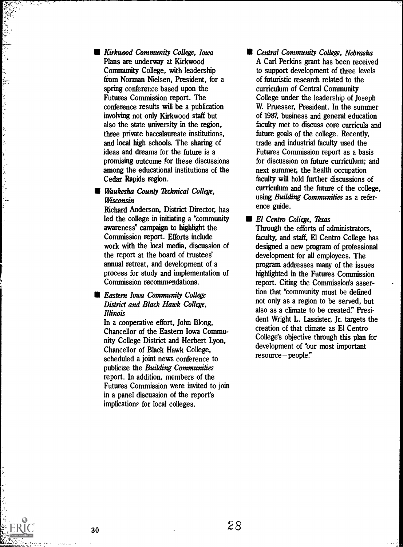**Kirkwood Community College, Iowa** Plans are underway at Kirkwood Community College, with leadership from Norman Nielsen, President, for a spring conference based upon the Futures Commission report. The conference results will be a publication involving not only Kirkwood staff but also the state university in the region, three private baccalaureate institutions, and local high schools. The sharing of ideas and dreams for the future is a promising outcome for these discussions among the educational institutions of the Cedar Rapids region.

#### **Waukesha County Technical College.** Wisconsin

 $\frac{1}{2}$ 

Richard Anderson, District Director, has led the college in initiating a "community awareness" campaign to highlight the Commission report. Efforts include work with the local media, discussion of the report at the board of trustees annual retreat, and development of a process for study and implementation of Commission recommendations.

#### **Eastern Iowa Community College** District and Black Hawk College, Illinois

In a cooperative effort, John Blong, Chancellor of the Eastern Iowa Community College District and Herbert Lyon, Chancellor of Black Hawk College, scheduled a joint news conference to publicize the Building Communities report. In addition, members of the Futures Commission were invited to join in a panel discussion of the report's implication? for local colleges.

**E** Central Community College, Nebraska A Carl Perkins grant has been received to support development of three levels of futuristic research related to the curriculum of Central Community College under the leadership of Joseph W. Pruesser, President. In the summer of 1987, business and general education faculty met to discuss core curricula and future goals of the college. Recently, trade and industrial faculty used the Futures Commission report as a basis for discussion on future curriculum; and next summer, the health occupation faculty will hold further discussions of curriculum and the future of the college, using Building Communities as a reference guide.

El Centro Coliege, Texas Through the efforts of administrators, faculty, and staff, El Centro College has designed a new program of professional development for all employees. The program addresses many of the issues highlighted in the Futures Commission report. Citing the Commission's assertion that "community must be defined not only as a region to be served, but also as a climate to be created." President Wright L. Lassister, Jr. targets the creation of that climate as El Centro College's objective through this plan for development of "our most important resource-people."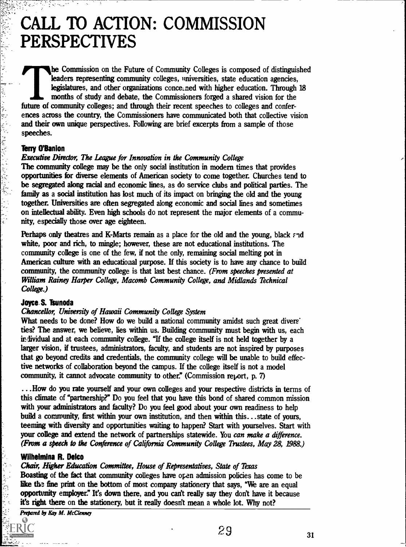## CALL TO ACTION: COMMISSION PERSPECTIVES

he Commission on the Future of Community Colleges is composed of distinguished leaders representing community colleges, universities, state education agencies, legislatures, and other organizations conce ned with higher education. Through 18 months of study and debate, the Commissioners forged a shared vision for the future of community colleges; and through their recent speeches to colleges and conferences across the country, the Commissioners have communicated both that collective vision and their own unique perspectives. Following are brief excerpts from a sample of those speeches.

#### Terry O'Banlon

 $\mathcal{L}^{\text{max}}_{\text{max}}$  , and  $\mathcal{L}^{\text{max}}_{\text{max}}$  , and  $\mathcal{L}^{\text{max}}_{\text{max}}$  ,  $\mathcal{L}^{\text{max}}_{\text{max}}$  ,  $\mathcal{L}^{\text{max}}_{\text{max}}$  ,  $\mathcal{L}^{\text{max}}_{\text{max}}$ 

#### Executive Director, The League for Innovation in the Community College

The community college may be the only social institution in modern times that provides opportunities for diverse elements of American society to come together. Churches tend to be segregated along racial and economic lines, as do service clubs and political parties. The family as a social institution has lost much of its impact on bringing the old and the young together. Universities are often segregated along economic and social lines and sometimes on intellectual ability. Even high schools do not represent the major elements of a community, especially those over age eighteen.

Perhaps only theatres and K-Marts remain as a place for the old and the young, black and white, poor and rich, to mingle; however, these are not educational institutions. The community college is one of the few, if not the only, remaining social melting pot in American culture with an educational purpose. If this society is to have any chance to build community, the community college is that last best chance. (From speeches presented at William Rainey Harper College, Macomb Community College, and Midlands Technical College.)

#### Joyce. S. Tsunoda

#### Chancellor, University of Hawaii Community College System

What needs to be done? How do we build a national community amidst such great divers' ties? The answer, we believe, lies within us. Building community must begin with us, each individual and at each community college. "If the college itself is not held together by a larger vision, if trustees, administrators, faculty, and students are not inspired by purposes that go beyond credits and credentials, the community college will be unable to build effective networks of collaboration beyond the campus. If the college itself is not a model community, it cannot advocate community to other." (Commission report, p. 7)

...How do you rate yourself and your own colleges and your respective districts in terms of this climate of "partnership?" Do you feel that you have this bond of shared common mission with your administrators and faculty? Do you feel good about your own readiness to help build a community, first within your own institution, and then within this ...state of yours, teeming with diversity and opportunities waiting to happen? Start with yourselves. Start with your college and extend the network of partnerships statewide. You can make a difference. (From a speech to the Conference of California Community College Trustees, May 28, 1988.)

#### Wilhelmina R. Delco

医阿尔夫氏病

Chair, Higher Education Committee, House of Representatives, State of Texas Boasting of the fact that community colleges have open admission policies has come to be like the fine print on the bottom of most company stationery that says, "We are an equal opportunity employee' It's down there, and you can't really say they don't have it because it's right there on the stationery, but it really doesn't mean a whole lot. Why not?

Prepared by Kay M. McClenney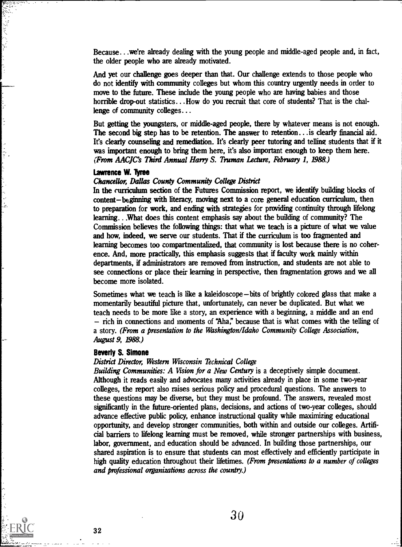Because...we're already dealing with the young people and middle-aged people and, in fact, the older people who are already motivated.

And yet our challenge goes deeper than that. Our challenge extends to those people who do not identify with community colleges but whom this country urgently needs in order to move to the future. These include the young people who are having babies and those horrible drop-out statistics... How do you recruit that core of students? That is the challenge of community colleges...

But getting the youngsters, or middle-aged people, there by whatever means is not enough. The second big step has to be retention. The answer to retention... is clearly financial aid. It's clearly counseling and remediation. It's dearly peer tutoring and telling students that if it was important enough to bring them here, it's also important enough to keep them here. (From AACJC's Third Annual Harry S. Truman Lecture, February 1, 1988.)

#### Lawrence W. Tyree

#### Chancellor, Dallas County Community College District

In the curriculum section of the Futures Commission report, we identify building blocks of content-beginning with literacy, moving next to a core general education curriculum, then to preparation for work, and ending with strategies for providing continuity through lifelong learning.. What does this content emphasis say about the building of community? The Commission believes the following things: that what we teach is a picture of what we value and how, indeed, we serve our students. That if the curriculum is too fragmented and learning becomes too compartmentalized, that community is lost because there is no coherence. And, more practically, this emphasis suggests that if faculty work mainly within departments, if administrators are removed from instruction, and students are not able to see connections or place their learning in perspective, then fragmentation grows and we all become more isolated.

Sometimes what we teach is like a kaleidoscope—bits of brightly colored glass that make a momentarily beautiful picture that, unfortunately, can never be duplicated. But what we teach needs to be more hie a story, an experience with a beginning, a middle and an end  $-$  rich in connections and moments of "Aha," because that is what comes with the telling of a story. (From a presentation to the Washington/Idaho Community College Association, August 9, 1988.)

#### Beverly S. Simone

#### District Director, Western Wisconsin Technical College

Building Communities: A Vision for a New Century is a deceptively simple document. Although it reads easily and advocates many activities already in place in some two-year colleges, the report also raises serious policy and procedural questions. The answers to these questions may be diverse, but they must be profound. The answers, revealed most significantly in the future-oriented plans, decisions, and actions of two-year colleges, should advance effective public policy, enhance instructional quality while maximizing educational opportunity, and develop stronger communities, both within and outside our colleges. Artificial barriers to lifelong learning must be removed, while stronger partnerships with business, labor, government, and education should be advanced. In building those partnerships, our shared aspiration is to ensure that students can most effectively and efficiently participate in high quality education throughout their lifetimes. (From presentations to a number of colleges and professional organizations across the country.)

The second control of the control of the control of the control of the control of the control of the control of the control of the control of the control of the control of the control of the control of the control of the c

 $\frac{1}{2}$ 

アー・リー

ķ

 $\frac{1}{2}$  $\frac{1}{2}$ ر<br>منتبه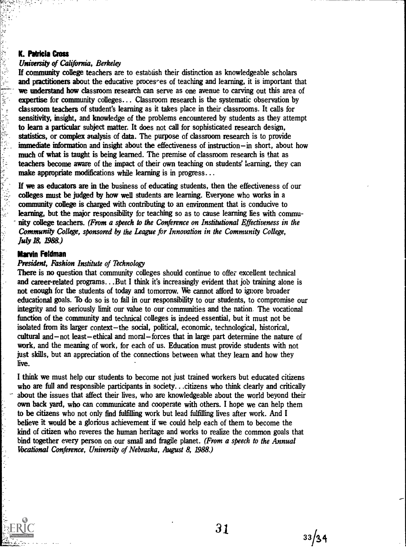#### University of California, Berkeley

**K. Patricia Cross**<br>
University of Ca.<br>
If community co<br>
and practitioners<br>
we understand hexpertise for col<br>
classroom teach<br>
sensitivity, insigl<br>
to learn a partic statistics, or con<br>
immediate information<br>
much of what If community college teachers are to establish their distinction as knowledgeable scholars and practitioners about the educative processes of teaching and learning, it is important that we understand how classroom research can serve as one avenue to carving out this area of expertise for community colleges... Classroom research is the systematic observation by classroom teachers of student's learning as it takes place in their classrooms. It calls for sensitivity, insight, and knowledge of the problems encountered by students as they attempt to learn a particular subject matter. It does not call for sophisticated research design, statistics, or complex analysis of data. The purpose of classroom research is to provide immediate information and insight about the effectiveness of instruction-in short, about how much of what is taught is being learned. The premise of classroom research is that as teachers become aware of the impact of their own teaching on students' learning, they can make appropriate modifications while learning is in progress...

If we as educators are in the business of educating students, then the effectiveness of our colleges must be judged by how well students are learning. Everyone who works in a community college is charged with contributing to an environment that is conducive to learning, but the major responsibility for teaching so as to cause learning lies with community college teachers. (From a speech to the Conference on Institutional Effectiveness in the Community College, sponsored by the League for Innovation in the Community College, July 18, 1988.)

#### Marvin Feldman

しょうえ

#### President, Fashion Institute of Technology

There is no question that community colleges should continue to offer excellent technical and career-related programs...But I think it's increasingly evident that job training alone is not enough for the students of today and tomorrow. We cannot afford to ignore broader educational goals. To do so is to fail in our responsibility to our students, to compromise our integrity and to seriously limit our value to our communities and the nation. The vocational function of the community and technical colleges is indeed essential, but it must not be isolated from its larger context-the social, political, economic, technological, historical, cultural and  $-$  not least-ethical and moral-forces that in large part determine the nature of work, and the meaning of work, for each of us. Education must provide students with not just skills, but an appreciation of the connections between what they learn and how they live.

I think we must help our students to become not just trained workers but educated citizens who are full and responsible participants in society...citizens who think clearly and critically about the issues that affect their lives, who are knowledgeable about the world beyond their own back yard, who can communicate and cooperate with others. I hope we can help them to be citizens who not only find fulfilling work but lead fulfilling lives after work. And I believe it would be a glorious achievement if we could help each of them to become the kind of citizen who reveres the human heritage and works to realize the common goals that bind together every person on our small and fragile planet. (From a speech to the Annual Vocational Conference, University of Nebraska, August 8, 1988.)

31

 $33/34$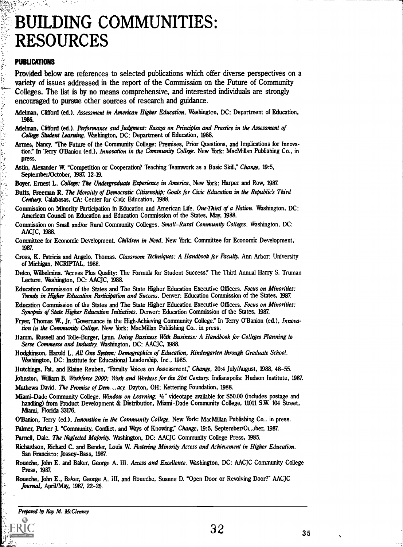## BUILDING COMMUNITIES: RESOURCES

#### PUBUCATIONS

经营费

t, Ņ Provided below are references to selected publications which offer diverse perspectives on a variety of issues addressed in the report of the Commission on the Future of Community Colleges. The list is by no means comprehensive, and interested individuals are strongly encouraged to pursue other sources of research and guidance.

- Adelman, Clifford (ed.). Assessment in American Higher Education. Washington, DC: Department of Education, 1986.
- Adelman, Clifford (ed.). Performance and Judgment: Essays on Principles and Practice in the Assessment of College Student Learning. Washington, DC: Department of Education, 1988.
- Armes, Nancy. "The Future of the Community College: Premises, Prior Questions, and Implications for Innovation." In Terry O'Banion (ed.), *Innovation in the Community College*. New York: MacMillan Publishing Co., in press.
- Astin, Alexander W. "Competition or Cooperation? Teaching Teamwork as a Basic Skill," Change, 19:5, September/October, 1987, 12-19.
- Boyer, Ernest L. College: The Undergraduate Experience in America. New York: Harper and Row, 1987.
- Butts, Freeman R. The Morality of Democratic Citizenship: Goals jor Civic Education in the Republic's Third Century. Calabasas, CA: Center for Civic Education, 1988.
- Commission on Minority Participation in Education and American Life. One-Third of a Nation. Washington, DC: American Council on Education and Education Commission of the States, May, 1988.
- Commission on Small and/or Rural Community Colleges. Small-Rural Community Colleges. Washington, DC: AACJC, 1988.
- Committee for Economic Development. *Children in Need*. New York: Committee for Economic Development, 1987.
- Cross, K. Patricia and Angelo, Thomas. Classroom Techniques: A Handbook for Faculty. Ann Arbor: University of Michigan, NCRIPTAL, 198E.
- Delco, Wilbehnina. "Access Plus Quality: The Formula for Student Success?' The Third Annual Harry S. Truman Lecture. Washington, DC: AACJC, 1988.
- Education Commission of the States and The State Higher Education Executive Officers. Focus on Minorities: Trends in Higher Education Participation and Success. Denver: Education Commission of the States, 1987.
- Education Commission of the States and The State Higher Education Executive Officers. Focus on Minorities: Synopsis of State Higher Education Initiatives. Denver: Education Commission of the States, 1987.
- Fryer, Thomas W., Jr. "Governance in the High-Achieving Community College." In Terry O'Banion (ed.), Innovation in the Community College. New York: MacMillan Publishing Co., in press.
- Hann, Russell and Tolle-Burger, Lynn. Doing Business With Business: A Handbook jor Colleges Planning to Serve Commerce and Industry. Washington, DC: AACJC, 1988.
- Hodgkinson, Harold L. All One System: Demographics of Education, Kindergarten through Graduate School. Washington, DC: Institute for Educational Leadership, Inc., 1985.
- Hutchings, Pat, and Elaine Reuben, "Faculty Voices on Assessment," Change, 20:4 July/August, 1988, 48-55.
- Johnston, William B. Workforce 2000: Work and Workers for the 21st Century. Indianapolis: Hudson Institute, 1987.
- Mathews David. The Promise of Dem. .. acy. Dayton, OH: Kettering Foundation, 1988.

Miami-Dade Community College. Window on Learning.  $1/2$ " videotape available for \$50.00 (includes postage and handling) from Product Development & Distribution, Miami-Dade Community College, 11011 S.W. 104 Street, Miami, Florida 33176.

- O'Banion, Terry (ed.). *Innovation in the Community College*. New York: MacMillan Publishing Co., in press.
- Palmer, Parker J. "Community, Conflict, and Ways of Knowing," Change, 19:5, September/Oc..., ber, 1987.

Parnell, Dale. The Neglected Majority. Washington, DC: AACJC Community College Press, 1985.

- Richardson, Richard C. and Bender, Louis W. Fostering Minority Access and Achievement in Higher Education. San Francisco: Jossey-Bass, 1987.
- Roueche, John E. and Baker, George A. III. Access and Excellence. Washington, DC: AACJC Community College Press, 1987.
- Roueche, John E., Baker, George A. III, and Roueche, Suanne D. "Open Door or Revolving Door?" AACJC Journal, April/May, 1987, 22-26.

Prepared by Kay M. McClenney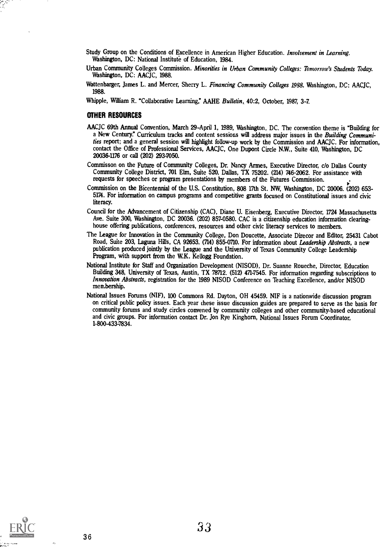- Study Group on the Conditions of Excellence in American Higher Education. Involvement in Learning. Washington, DC: National Institute of Education, 1984.
- Urban Community Colleges Commission. Minorities in Urban Community Colleges: Tomorrow's Students Today. Washington, DC: AACJC, 1988.
- Wattenbarger, James L. and Mercer, Sherry L. Financing Community Colleges 1988. Washington, DC: AACJC, 1988.
- Whipple, William R. "Collaborative Learning," AAHE Bulletin, 40:2, October, 1987, 3-7.

#### OTHER RESOURCES

- AACJC 69th Annual Convention, March 29-April 1, 1989, Washington, DC. The convention theme is "Building for a New Century." Curriculum tracks and content sessions will address major issues in the Building Communities report; and a general session will highlight follow-up work by the Commission and AACJC. For information, contact the Office of Professional Services, AACJC, One Dupont Circle N.W., Suite 410, Washington, DC 20036-1176 or call (202) 293-7050.
- Commisson on the Future of Community Colleges, Dr. Nancy Armes, Executive Director, do Dallas County Community College District, 701 Elm, Suite 520, Dallas, TX 75202. (214) 746-2062. For assistance with requests for speeches or program presentations by members of the Futures Commission.
- Commission on the Bicentennial of the U.S. Constitution, 808 17th St. NW Washington, DC 20006. (202) 653- 5174. For information on campus programs and competitive grants focused on Constitutional issues and civic literacy.
- Council for the Advancement of Citizenship (CAC), Diane U. Eisenberg, Executive Director, 1724 Massachusetts Ave. Suite 300, Washington, DC 20036. (202) 857-0580. CAC is a citizenship education information clearinghouse offering publications, conferences, resources and other civic literacy services to members.
- The League for Innovation in the Community College, Don Doucette, Associate Direcor and Editor, 25431 Cabot Road, Suite 203, Laguna Hills, CA 92653. (714) 855-0710. For information about Leadership Abstracts, a new publication produced jointly by the League and the University of Texas Community College Leadership Program, with support from the W.K. Kellogg Foundation.
- National Institute for Staff and Organization Development (NISOD), Dr. Suanne Roueche, Director, Education Building 348, University of Texas, Austin, TX 78712. (512) 471-7545. For information regarding subscriptions to Innovation Abstracts, registration for the 1989 NISOD Conference on Teaching Excellence, and/or NISOD membership.
- National Issues Forums (NIF), 100 Commons Rd. Dayton, OH 45459. NIF is a nationwide discussion program on critical public policy issues. Each year these issue discussion guides are prepared to serve as the basis for community forums and study circles convened by community colleges and other community-based educational and civic groups. For information contact Dr. Jon Rye Kinghorn, National Issues Forum Coordinator, 1-800-433-7834.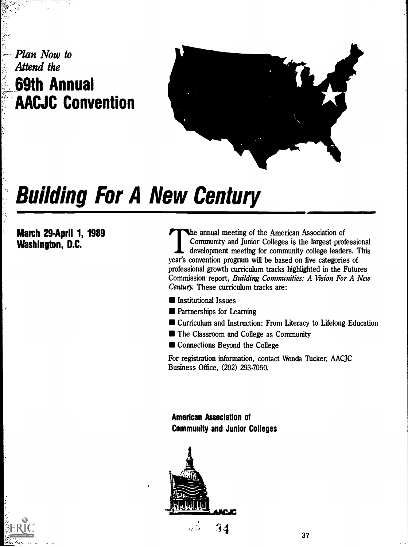### Plan Now to Attend the 69th Annual AACJC Convention



# Building For A New Century

March 29-April 1, 1989 Washington, D.C.

The annual meeting of the American Association of Community and Junior Colleges is the largest professional development meeting for community college leaders. This year's convention program will be based on five categories of professional growth curriculum tracks highlighted in the Futures Commission report, Building Communities: A Vision For A New Century. These curriculum tracks are:

- **Institutional Issues**
- **Partnerships for Learning**
- Curriculum and Instruction: From Literacy to Lifelong Education
- **The Classroom and College as Community**
- $\blacksquare$  Connections Beyond the College

For registration information, contact Wenda Tucker, AACJC Business Office, (202) 293-7050.

American Association of Community and Junior Colleges